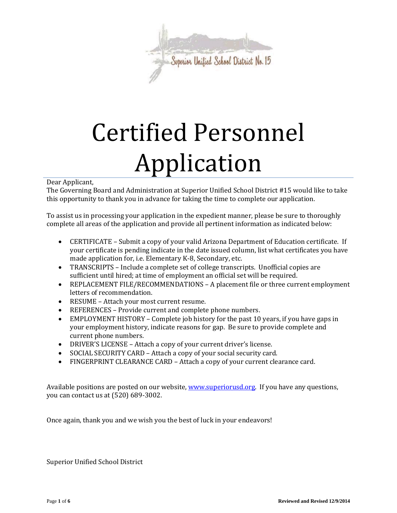

# Certified Personnel Application

## Dear Applicant,

The Governing Board and Administration at Superior Unified School District #15 would like to take this opportunity to thank you in advance for taking the time to complete our application.

To assist us in processing your application in the expedient manner, please be sure to thoroughly complete all areas of the application and provide all pertinent information as indicated below:

- CERTIFICATE Submit a copy of your valid Arizona Department of Education certificate. If your certificate is pending indicate in the date issued column, list what certificates you have made application for, i.e. Elementary K-8, Secondary, etc.
- TRANSCRIPTS Include a complete set of college transcripts. Unofficial copies are sufficient until hired; at time of employment an official set will be required.
- REPLACEMENT FILE/RECOMMENDATIONS A placement file or three current employment letters of recommendation.
- RESUME Attach your most current resume.
- REFERENCES Provide current and complete phone numbers.
- EMPLOYMENT HISTORY Complete job history for the past 10 years, if you have gaps in your employment history, indicate reasons for gap. Be sure to provide complete and current phone numbers.
- DRIVER'S LICENSE Attach a copy of your current driver's license.
- SOCIAL SECURITY CARD Attach a copy of your social security card.
- FINGERPRINT CLEARANCE CARD Attach a copy of your current clearance card.

Available positions are posted on our website, [www.superiorusd.org.](http://www.superiorusd.org/) If you have any questions, you can contact us at (520) 689-3002.

Once again, thank you and we wish you the best of luck in your endeavors!

Superior Unified School District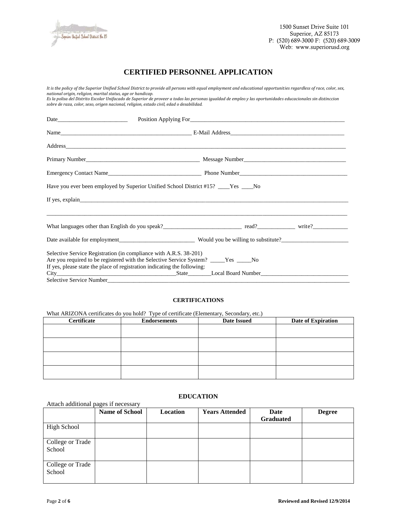

## **CERTIFIED PERSONNEL APPLICATION**

*It is the policy of the Superior Unified School District to provide all persons with equal employment and educational opportunities regardless of race, color, sex, national origin, religion, marital status, age or handicap. Es la polisa del Distrito Escolar Unifacado de Superior de proveer a todas las personas igualdad de empleo y las oportunidades educacionales sin distinccion sobre de raza, color, sexo, origen nacional, religion, estado civil, edad o desabilidad.*  Date\_\_\_\_\_\_\_\_\_\_\_\_\_\_\_\_\_\_\_\_\_\_\_\_ Position Applying For\_\_\_\_\_\_\_\_\_\_\_\_\_\_\_\_\_\_\_\_\_\_\_\_\_\_\_\_\_\_\_\_\_\_\_\_\_\_\_\_\_\_\_\_\_\_\_\_\_\_\_\_\_ Name\_\_\_\_\_\_\_\_\_\_\_\_\_\_\_\_\_\_\_\_\_\_\_\_\_\_\_\_\_\_\_\_\_\_\_\_\_\_\_\_\_\_\_\_\_ E-Mail Address\_\_\_\_\_\_\_\_\_\_\_\_\_\_\_\_\_\_\_\_\_\_\_\_\_\_\_\_\_\_\_\_\_\_\_\_\_\_\_ Address\_\_\_\_\_\_\_\_\_\_\_\_\_\_\_\_\_\_\_\_\_\_\_\_\_\_\_\_\_\_\_\_\_\_\_\_\_\_\_\_\_\_\_\_\_\_\_\_\_\_\_\_\_\_\_\_\_\_\_\_\_\_\_\_\_\_\_\_\_\_\_\_\_\_\_\_\_\_\_\_\_\_\_\_\_\_\_\_\_\_\_\_\_\_\_\_ Primary Number\_\_\_\_\_\_\_\_\_\_\_\_\_\_\_\_\_\_\_\_\_\_\_\_\_\_\_\_\_\_\_\_\_\_\_\_\_\_\_ Message Number\_\_\_\_\_\_\_\_\_\_\_\_\_\_\_\_\_\_\_\_\_\_\_\_\_\_\_\_\_\_\_\_\_\_\_ Emergency Contact Name\_\_\_\_\_\_\_\_\_\_\_\_\_\_\_\_\_\_\_\_\_\_\_\_\_\_\_\_\_\_\_\_ Phone Number\_\_\_\_\_\_\_\_\_\_\_\_\_\_\_\_\_\_\_\_\_\_\_\_\_\_\_\_\_\_\_\_\_\_\_\_\_ Have you ever been employed by Superior Unified School District #15? Yes No If yes, explain \_\_\_\_\_\_\_\_\_\_\_\_\_\_\_\_\_\_\_\_\_\_\_\_\_\_\_\_\_\_\_\_\_\_\_\_\_\_\_\_\_\_\_\_\_\_\_\_\_\_\_\_\_\_\_\_\_\_\_\_\_\_\_\_\_\_\_\_\_\_\_\_\_\_\_\_\_\_\_\_\_\_\_\_\_\_\_\_\_\_\_\_\_\_\_\_\_\_\_\_\_\_\_ What languages other than English do you speak?\_\_\_\_\_\_\_\_\_\_\_\_\_\_\_\_\_\_\_\_\_\_\_\_\_\_\_ read?\_\_\_\_\_\_\_\_\_\_\_\_\_ write?\_\_\_\_\_\_\_\_\_\_\_\_ Date available for employment\_\_\_\_\_\_\_\_\_\_\_\_\_\_\_\_\_\_\_\_\_\_\_\_\_\_ Would you be willing to substitute?\_\_\_\_\_\_\_\_\_\_\_\_\_\_\_\_\_\_\_\_\_\_\_ Selective Service Registration (in compliance with A.R.S. 38-201) Are you required to be registered with the Selective Service System? \_\_\_\_\_Yes \_\_\_\_\_No If yes, please state the place of registration indicating the following: City\_\_\_\_\_\_\_\_\_\_\_\_\_\_\_\_\_\_\_\_\_\_\_\_\_\_\_\_\_\_\_\_\_\_\_\_\_\_\_\_\_State\_\_\_\_\_\_\_\_Local Board Number\_\_\_\_\_\_\_\_\_\_\_\_\_\_\_\_\_\_\_\_\_\_\_\_\_\_\_\_\_\_ Selective Service Number\_\_\_\_\_\_\_\_\_\_\_\_\_\_\_\_\_\_\_\_\_\_\_\_\_\_\_\_\_\_\_\_\_\_\_\_\_\_\_\_\_\_\_\_\_\_\_\_\_\_\_\_\_\_\_\_\_\_\_\_\_\_\_\_\_\_\_\_\_\_\_\_\_\_\_\_\_\_\_\_\_\_\_

#### **CERTIFICATIONS**

What ARIZONA certificates do you hold? Type of certificate (Elementary, Secondary, etc.)

| Certificate | <b>Endorsements</b> | <b>Date Issued</b> | Date of Expiration |
|-------------|---------------------|--------------------|--------------------|
|             |                     |                    |                    |
|             |                     |                    |                    |
|             |                     |                    |                    |
|             |                     |                    |                    |
|             |                     |                    |                    |
|             |                     |                    |                    |
|             |                     |                    |                    |
|             |                     |                    |                    |

#### **EDUCATION**

|                            | <b>Name of School</b> | Location | <b>Years Attended</b> | Date<br><b>Graduated</b> | <b>Degree</b> |
|----------------------------|-----------------------|----------|-----------------------|--------------------------|---------------|
| High School                |                       |          |                       |                          |               |
| College or Trade<br>School |                       |          |                       |                          |               |
| College or Trade<br>School |                       |          |                       |                          |               |

Attach additional pages if necessary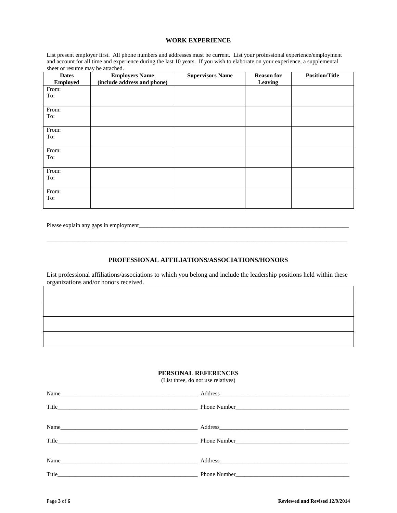#### **WORK EXPERIENCE**

List present employer first. All phone numbers and addresses must be current. List your professional experience/employment and account for all time and experience during the last 10 years. If you wish to elaborate on your experience, a supplemental sheet or resume may be attached.

| <b>Dates</b><br><b>Employed</b> | <b>Employers Name</b><br>(include address and phone) | <b>Supervisors Name</b> | <b>Reason for</b><br>Leaving | <b>Position/Title</b> |
|---------------------------------|------------------------------------------------------|-------------------------|------------------------------|-----------------------|
| From:<br>To:                    |                                                      |                         |                              |                       |
| From:<br>To:                    |                                                      |                         |                              |                       |
| From:<br>To:                    |                                                      |                         |                              |                       |
| From:<br>To:                    |                                                      |                         |                              |                       |
| From:<br>To:                    |                                                      |                         |                              |                       |
| From:<br>To:                    |                                                      |                         |                              |                       |

Please explain any gaps in employment\_

#### **PROFESSIONAL AFFILIATIONS/ASSOCIATIONS/HONORS**

\_\_\_\_\_\_\_\_\_\_\_\_\_\_\_\_\_\_\_\_\_\_\_\_\_\_\_\_\_\_\_\_\_\_\_\_\_\_\_\_\_\_\_\_\_\_\_\_\_\_\_\_\_\_\_\_\_\_\_\_\_\_\_\_\_\_\_\_\_\_\_\_\_\_\_\_\_\_\_\_\_\_\_\_\_\_\_\_\_\_\_\_\_\_\_\_\_\_\_\_\_\_\_

List professional affiliations/associations to which you belong and include the leadership positions held within these organizations and/or honors received.

#### **PERSONAL REFERENCES**

(List three, do not use relatives)

| Title |  |
|-------|--|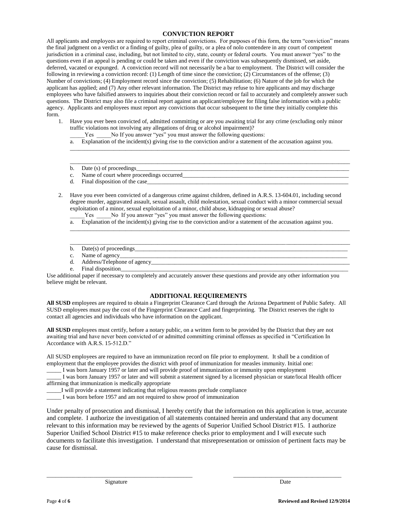### **CONVICTION REPORT**

All applicants and employees are required to report criminal convictions. For purposes of this form, the term "conviction" means the final judgment on a verdict or a finding of guilty, plea of guilty, or a plea of nolo contendere in any court of competent jurisdiction in a criminal case, including, but not limited to city, state, county or federal courts. You must answer "yes" to the questions even if an appeal is pending or could be taken and even if the conviction was subsequently dismissed, set aside, deferred, vacated or expunged. A conviction record will not necessarily be a bar to employment. The District will consider the following in reviewing a conviction record: (1) Length of time since the conviction; (2) Circumstances of the offense; (3) Number of convictions; (4) Employment record since the conviction; (5) Rehabilitation; (6) Nature of the job for which the applicant has applied; and (7) Any other relevant information. The District may refuse to hire applicants and may discharge employees who have falsified answers to inquiries about their conviction record or fail to accurately and completely answer such questions. The District may also file a criminal report against an applicant/employee for filing false information with a public agency. Applicants and employees must report any convictions that occur subsequent to the time they initially complete this form.

- 1. Have you ever been convicted of, admitted committing or are you awaiting trial for any crime (excluding only minor traffic violations not involving any allegations of drug or alcohol impairment)?
	- Yes No If you answer "yes" you must answer the following questions:
	- a. Explanation of the incident(s) giving rise to the conviction and/or a statement of the accusation against you.

\_\_\_\_\_\_\_\_\_\_\_\_\_\_\_\_\_\_\_\_\_\_\_\_\_\_\_\_\_\_\_\_\_\_\_\_\_\_\_\_\_\_\_\_\_\_\_\_\_\_\_\_\_\_\_\_\_\_\_\_\_\_\_\_\_\_\_\_\_\_\_\_\_\_\_\_\_\_\_\_\_\_\_\_\_\_\_\_\_\_\_\_\_\_\_\_

 $\Box$ 

- b. Date  $(s)$  of proceedings
- c. Name of court where proceedings occurred
- d. Final disposition of the case
- 2. Have you ever been convicted of a dangerous crime against children, defined in A.R.S. 13-604.01, including second degree murder, aggravated assault, sexual assault, child molestation, sexual conduct with a minor commercial sexual exploitation of a minor, sexual exploitation of a minor, child abuse, kidnapping or sexual abuse?
	- Yes No If you answer "yes" you must answer the following questions:
	- a. Explanation of the incident(s) giving rise to the conviction and/or a statement of the accusation against you.

\_\_\_\_\_\_\_\_\_\_\_\_\_\_\_\_\_\_\_\_\_\_\_\_\_\_\_\_\_\_\_\_\_\_\_\_\_\_\_\_\_\_\_\_\_\_\_\_\_\_\_\_\_\_\_\_\_\_\_\_\_\_\_\_\_\_\_\_\_\_\_\_\_\_\_\_\_\_\_\_\_\_\_\_\_\_\_\_\_\_\_\_\_\_\_\_

 $\Box$ 

- b. Date(s) of proceedings\_
- c. Name of agency\_\_\_\_\_\_\_\_\_\_\_\_\_\_\_\_\_\_\_\_\_\_\_\_\_\_\_\_\_\_\_\_\_\_\_\_\_\_\_\_\_\_\_\_\_\_\_\_\_\_\_\_\_\_\_\_\_\_\_\_\_\_\_\_\_\_\_\_\_\_\_\_\_\_\_\_\_\_
- d. Address/Telephone of agency\_\_\_\_\_\_\_\_\_\_\_\_\_\_\_\_\_\_\_\_\_\_\_\_\_\_\_\_\_\_\_\_\_\_\_\_\_\_\_\_\_\_\_\_\_\_\_\_\_\_\_\_\_\_\_\_\_\_\_\_\_\_\_\_\_\_\_\_
- e. Final disposition

Use additional paper if necessary to completely and accurately answer these questions and provide any other information you believe might be relevant.

#### **ADDITIONAL REQUIREMENTS**

**All SUSD** employees are required to obtain a Fingerprint Clearance Card through the Arizona Department of Public Safety. All SUSD employees must pay the cost of the Fingerprint Clearance Card and fingerprinting. The District reserves the right to contact all agencies and individuals who have information on the applicant.

**All SUSD** employees must certify, before a notary public, on a written form to be provided by the District that they are not awaiting trial and have never been convicted of or admitted committing criminal offenses as specified in "Certification In Accordance with A.R.S. 15-512.D."

All SUSD employees are required to have an immunization record on file prior to employment. It shall be a condition of employment that the employee provides the district with proof of immunization for measles immunity. Initial one:

\_\_\_\_\_ I was born January 1957 or later and will provide proof of immunization or immunity upon employment

\_\_\_\_\_ I was born January 1957 or later and will submit a statement signed by a licensed physician or state/local Health officer affirming that immunization is medically appropriate

\_\_\_\_\_I will provide a statement indicating that religious reasons preclude compliance

\_\_\_\_\_ I was born before 1957 and am not required to show proof of immunization

Under penalty of prosecution and dismissal, I hereby certify that the information on this application is true, accurate and complete. I authorize the investigation of all statements contained herein and understand that any document relevant to this information may be reviewed by the agents of Superior Unified School District #15. I authorize Superior Unified School District #15 to make reference checks prior to employment and I will execute such documents to facilitate this investigation. I understand that misrepresentation or omission of pertinent facts may be cause for dismissal.

\_\_\_\_\_\_\_\_\_\_\_\_\_\_\_\_\_\_\_\_\_\_\_\_\_\_\_\_\_\_\_\_\_\_\_\_\_\_\_\_\_\_\_\_\_\_\_\_\_\_ \_\_\_\_\_\_\_\_\_\_\_\_\_\_\_\_\_\_\_\_\_\_\_\_\_\_\_\_\_\_\_\_\_\_\_\_\_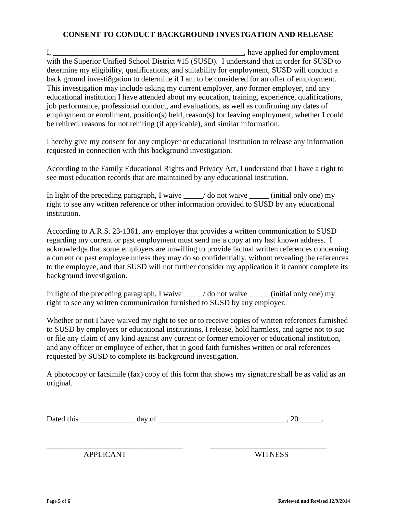# **CONSENT TO CONDUCT BACKGROUND INVESTGATION AND RELEASE**

I, have applied for employment with the Superior Unified School District #15 (SUSD). I understand that in order for SUSD to determine my eligibility, qualifications, and suitability for employment, SUSD will conduct a back ground investi8gation to determine if I am to be considered for an offer of employment. This investigation may include asking my current employer, any former employer, and any educational institution I have attended about my education, training, experience, qualifications, job performance, professional conduct, and evaluations, as well as confirming my dates of employment or enrollment, position(s) held, reason(s) for leaving employment, whether I could be rehired, reasons for not rehiring (if applicable), and similar information.

I hereby give my consent for any employer or educational institution to release any information requested in connection with this background investigation.

According to the Family Educational Rights and Privacy Act, I understand that I have a right to see most education records that are maintained by any educational institution.

In light of the preceding paragraph, I waive  $\angle$  do not waive  $\angle$  (initial only one) my right to see any written reference or other information provided to SUSD by any educational institution.

According to A.R.S. 23-1361, any employer that provides a written communication to SUSD regarding my current or past employment must send me a copy at my last known address. I acknowledge that some employers are unwilling to provide factual written references concerning a current or past employee unless they may do so confidentially, without revealing the references to the employee, and that SUSD will not further consider my application if it cannot complete its background investigation.

In light of the preceding paragraph, I waive \_\_\_\_\_/ do not waive \_\_\_\_\_\_ (initial only one) my right to see any written communication furnished to SUSD by any employer.

Whether or not I have waived my right to see or to receive copies of written references furnished to SUSD by employers or educational institutions, I release, hold harmless, and agree not to sue or file any claim of any kind against any current or former employer or educational institution, and any officer or employee of either, that in good faith furnishes written or oral references requested by SUSD to complete its background investigation.

A photocopy or facsimile (fax) copy of this form that shows my signature shall be as valid as an original.

| Dat<br>- h 1 a<br>шь<br>ື້ | -- |  |
|----------------------------|----|--|
|----------------------------|----|--|

\_\_\_\_\_\_\_\_\_\_\_\_\_\_\_\_\_\_\_\_\_\_\_\_\_\_\_\_\_\_\_\_\_\_\_ \_\_\_\_\_\_\_\_\_\_\_\_\_\_\_\_\_\_\_\_\_\_\_\_\_\_\_\_\_\_

APPLICANT WITNESS